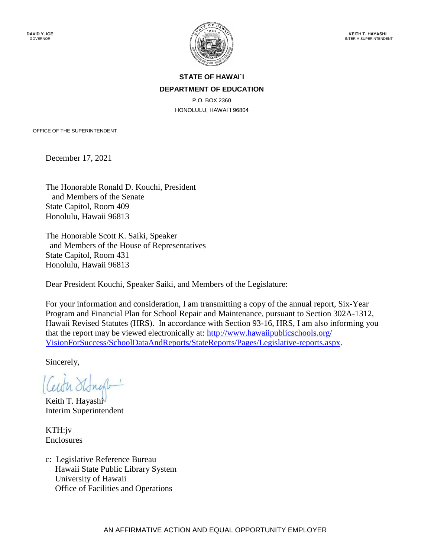

## **STATE OF HAWAI`I DEPARTMENT OF EDUCATION**

P.O. BOX 2360 HONOLULU, HAWAI`I 96804

OFFICE OF THE SUPERINTENDENT

December 17, 2021

The Honorable Ronald D. Kouchi, President and Members of the Senate State Capitol, Room 409 Honolulu, Hawaii 96813

The Honorable Scott K. Saiki, Speaker and Members of the House of Representatives State Capitol, Room 431 Honolulu, Hawaii 96813

Dear President Kouchi, Speaker Saiki, and Members of the Legislature:

For your information and consideration, I am transmitting a copy of the annual report, Six-Year Program and Financial Plan for School Repair and Maintenance, pursuant to Section 302A-1312, Hawaii Revised Statutes (HRS). In accordance with Section 93-16, HRS, I am also informing you that the report may be viewed electronically at: http://www.hawaiipublicschools.org/ [VisionForSuccess/SchoolDataAndReports/StateReports/Pages/Legislative-reports.aspx.](http://www.hawaiipublicschools.org/VisionForSuccess/SchoolDataAndReports/StateReports/Pages/Legislative-reports.aspx)

Sincerely,

Keith T. Hayashi Interim Superintendent

KTH:jv Enclosures

c: Legislative Reference Bureau Hawaii State Public Library System University of Hawaii Office of Facilities and Operations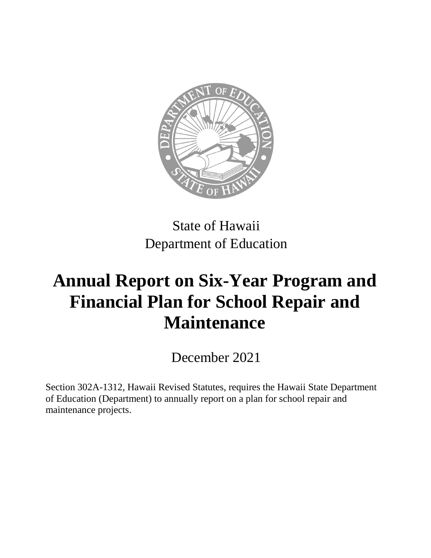

State of Hawaii Department of Education

## **Annual Report on Six-Year Program and Financial Plan for School Repair and Maintenance**

December 2021

Section 302A-1312, Hawaii Revised Statutes, requires the Hawaii State Department of Education (Department) to annually report on a plan for school repair and maintenance projects.